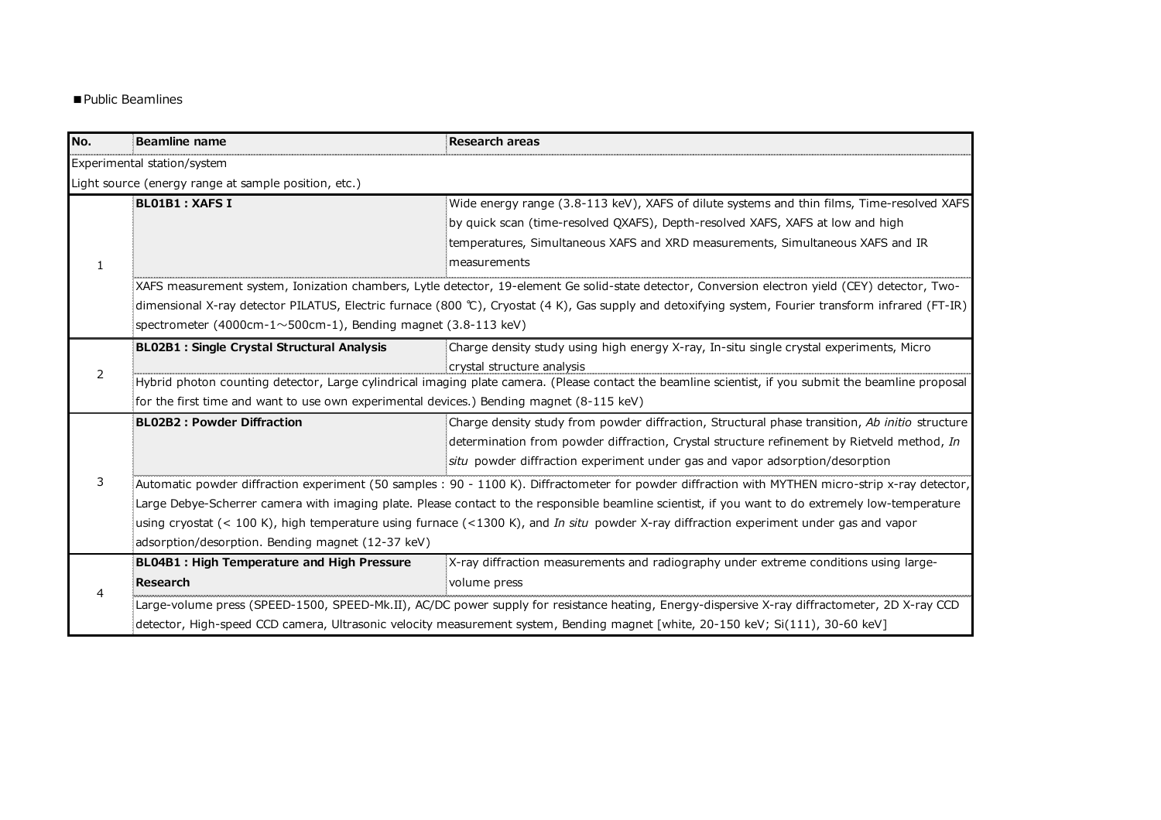## ■ Public Beamlines

| No. | Beamline name                                                                                                                                        | <b>Research areas</b>                                                                                                                                |  |
|-----|------------------------------------------------------------------------------------------------------------------------------------------------------|------------------------------------------------------------------------------------------------------------------------------------------------------|--|
|     | Experimental station/system                                                                                                                          |                                                                                                                                                      |  |
|     | Light source (energy range at sample position, etc.)                                                                                                 |                                                                                                                                                      |  |
|     | BL01B1 : XAFS I                                                                                                                                      | Wide energy range (3.8-113 keV), XAFS of dilute systems and thin films, Time-resolved XAFS                                                           |  |
|     |                                                                                                                                                      | by quick scan (time-resolved QXAFS), Depth-resolved XAFS, XAFS at low and high                                                                       |  |
|     |                                                                                                                                                      | temperatures, Simultaneous XAFS and XRD measurements, Simultaneous XAFS and IR                                                                       |  |
| 1   |                                                                                                                                                      | imeasurements                                                                                                                                        |  |
|     |                                                                                                                                                      | :XAFS measurement system, Ionization chambers, Lytle detector, 19-element Ge solid-state detector, Conversion electron yield (CEY) detector, Two-    |  |
|     |                                                                                                                                                      | :dimensional X-ray detector PILATUS, Electric furnace (800 ℃), Cryostat (4 K), Gas supply and detoxifying system, Fourier transform infrared (FT-IR) |  |
|     | spectrometer (4000cm-1 $\sim$ 500cm-1), Bending magnet (3.8-113 keV)                                                                                 |                                                                                                                                                      |  |
|     | BL02B1 : Single Crystal Structural Analysis                                                                                                          | Charge density study using high energy X-ray, In-situ single crystal experiments, Micro                                                              |  |
| 2   |                                                                                                                                                      | crystal structure analysis                                                                                                                           |  |
|     | Hybrid photon counting detector, Large cylindrical imaging plate camera. (Please contact the beamline scientist, if you submit the beamline proposal |                                                                                                                                                      |  |
|     | for the first time and want to use own experimental devices.) Bending magnet (8-115 keV)                                                             |                                                                                                                                                      |  |
|     | <b>BL02B2: Powder Diffraction</b>                                                                                                                    | Charge density study from powder diffraction, Structural phase transition, Ab initio structure                                                       |  |
|     |                                                                                                                                                      | determination from powder diffraction, Crystal structure refinement by Rietveld method, In                                                           |  |
|     |                                                                                                                                                      | situ powder diffraction experiment under gas and vapor adsorption/desorption                                                                         |  |
| 3   | Automatic powder diffraction experiment (50 samples: 90 - 1100 K). Diffractometer for powder diffraction with MYTHEN micro-strip x-ray detector,     |                                                                                                                                                      |  |
|     | Large Debye-Scherrer camera with imaging plate. Please contact to the responsible beamline scientist, if you want to do extremely low-temperature    |                                                                                                                                                      |  |
|     | using cryostat (< 100 K), high temperature using furnace (<1300 K), and In situ powder X-ray diffraction experiment under gas and vapor              |                                                                                                                                                      |  |
|     | adsorption/desorption. Bending magnet (12-37 keV)                                                                                                    |                                                                                                                                                      |  |
|     | BL04B1 : High Temperature and High Pressure                                                                                                          | X-ray diffraction measurements and radiography under extreme conditions using large-                                                                 |  |
|     | <b>Research</b>                                                                                                                                      | volume press                                                                                                                                         |  |
| 4   |                                                                                                                                                      | Large-volume press (SPEED-1500, SPEED-Mk.II), AC/DC power supply for resistance heating, Energy-dispersive X-ray diffractometer, 2D X-ray CCD        |  |
|     |                                                                                                                                                      | detector, High-speed CCD camera, Ultrasonic velocity measurement system, Bending magnet [white, 20-150 keV; Si(111), 30-60 keV]                      |  |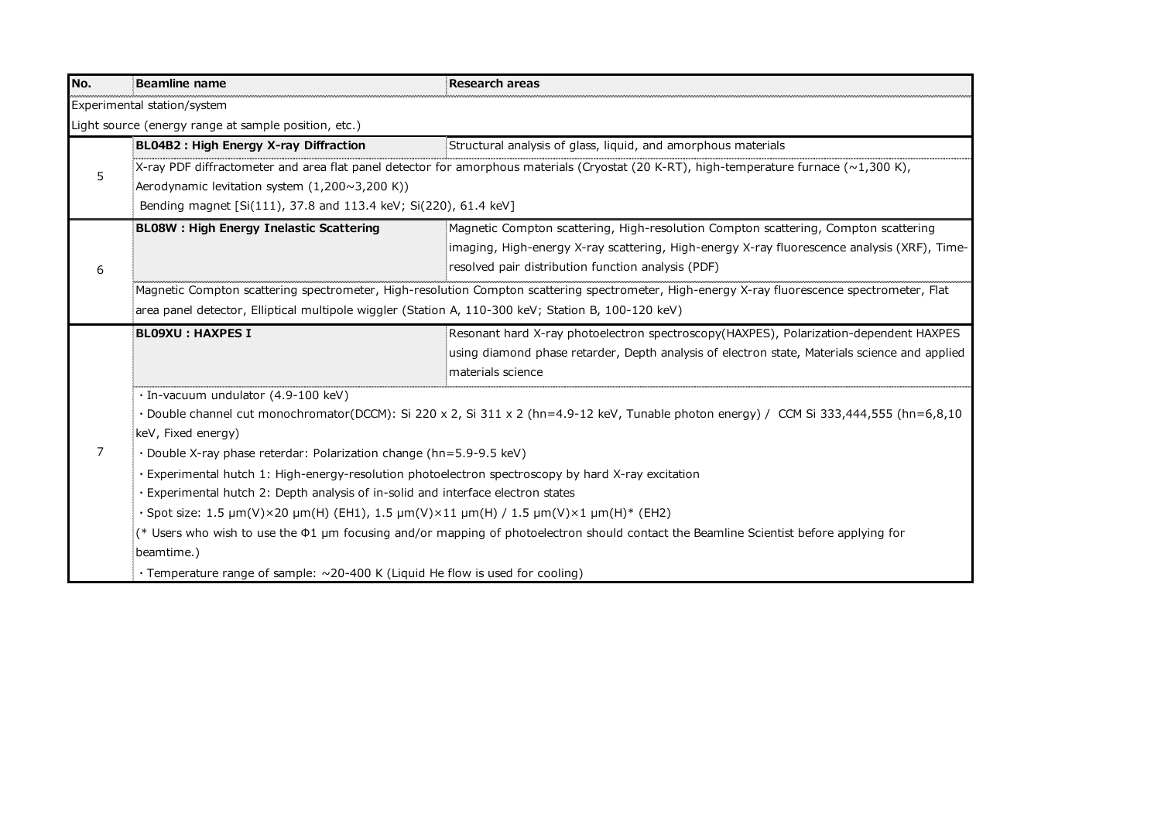| No. | Beamline name                                                                                                                                | <b>Research areas</b>                                                                                                                    |  |
|-----|----------------------------------------------------------------------------------------------------------------------------------------------|------------------------------------------------------------------------------------------------------------------------------------------|--|
|     | Experimental station/system                                                                                                                  |                                                                                                                                          |  |
|     | Light source (energy range at sample position, etc.)                                                                                         |                                                                                                                                          |  |
|     | BL04B2 : High Energy X-ray Diffraction                                                                                                       | Structural analysis of glass, liquid, and amorphous materials                                                                            |  |
| 5   |                                                                                                                                              | :X-ray PDF diffractometer and area flat panel detector for amorphous materials (Cryostat (20 K-RT), high-temperature furnace (~1,300 K), |  |
|     | Aerodynamic levitation system $(1,200 \sim 3,200 \text{ K}))$                                                                                |                                                                                                                                          |  |
|     | Bending magnet [Si(111), 37.8 and 113.4 keV; Si(220), 61.4 keV]                                                                              |                                                                                                                                          |  |
|     | <b>BL08W: High Energy Inelastic Scattering</b>                                                                                               | Magnetic Compton scattering, High-resolution Compton scattering, Compton scattering                                                      |  |
|     |                                                                                                                                              | imaging, High-energy X-ray scattering, High-energy X-ray fluorescence analysis (XRF), Time-                                              |  |
| 6   |                                                                                                                                              | resolved pair distribution function analysis (PDF)                                                                                       |  |
|     | Magnetic Compton scattering spectrometer, High-resolution Compton scattering spectrometer, High-energy X-ray fluorescence spectrometer, Flat |                                                                                                                                          |  |
|     |                                                                                                                                              | area panel detector, Elliptical multipole wiggler (Station A, 110-300 keV; Station B, 100-120 keV)                                       |  |
|     | <b>BLO9XU: HAXPES I</b>                                                                                                                      | Resonant hard X-ray photoelectron spectroscopy(HAXPES), Polarization-dependent HAXPES                                                    |  |
|     |                                                                                                                                              | using diamond phase retarder, Depth analysis of electron state, Materials science and applied                                            |  |
|     |                                                                                                                                              | materials science                                                                                                                        |  |
|     | · In-vacuum undulator (4.9-100 keV)                                                                                                          |                                                                                                                                          |  |
|     | · Double channel cut monochromator(DCCM): Si 220 x 2, Si 311 x 2 (hn=4.9-12 keV, Tunable photon energy) / CCM Si 333,444,555 (hn=6,8,10      |                                                                                                                                          |  |
|     | keV, Fixed energy)                                                                                                                           |                                                                                                                                          |  |
| 7   | · Double X-ray phase reterdar: Polarization change (hn=5.9-9.5 keV)                                                                          |                                                                                                                                          |  |
|     | Experimental hutch 1: High-energy-resolution photoelectron spectroscopy by hard X-ray excitation                                             |                                                                                                                                          |  |
|     | Experimental hutch 2: Depth analysis of in-solid and interface electron states                                                               |                                                                                                                                          |  |
|     | $\cdot$ Spot size: 1.5 µm(V)×20 µm(H) (EH1), 1.5 µm(V)×11 µm(H) / 1.5 µm(V)×1 µm(H)* (EH2)                                                   |                                                                                                                                          |  |
|     | (* Users who wish to use the $\Phi$ 1 µm focusing and/or mapping of photoelectron should contact the Beamline Scientist before applying for  |                                                                                                                                          |  |
|     | beamtime.)                                                                                                                                   |                                                                                                                                          |  |
|     | · Temperature range of sample: ~20-400 K (Liquid He flow is used for cooling)                                                                |                                                                                                                                          |  |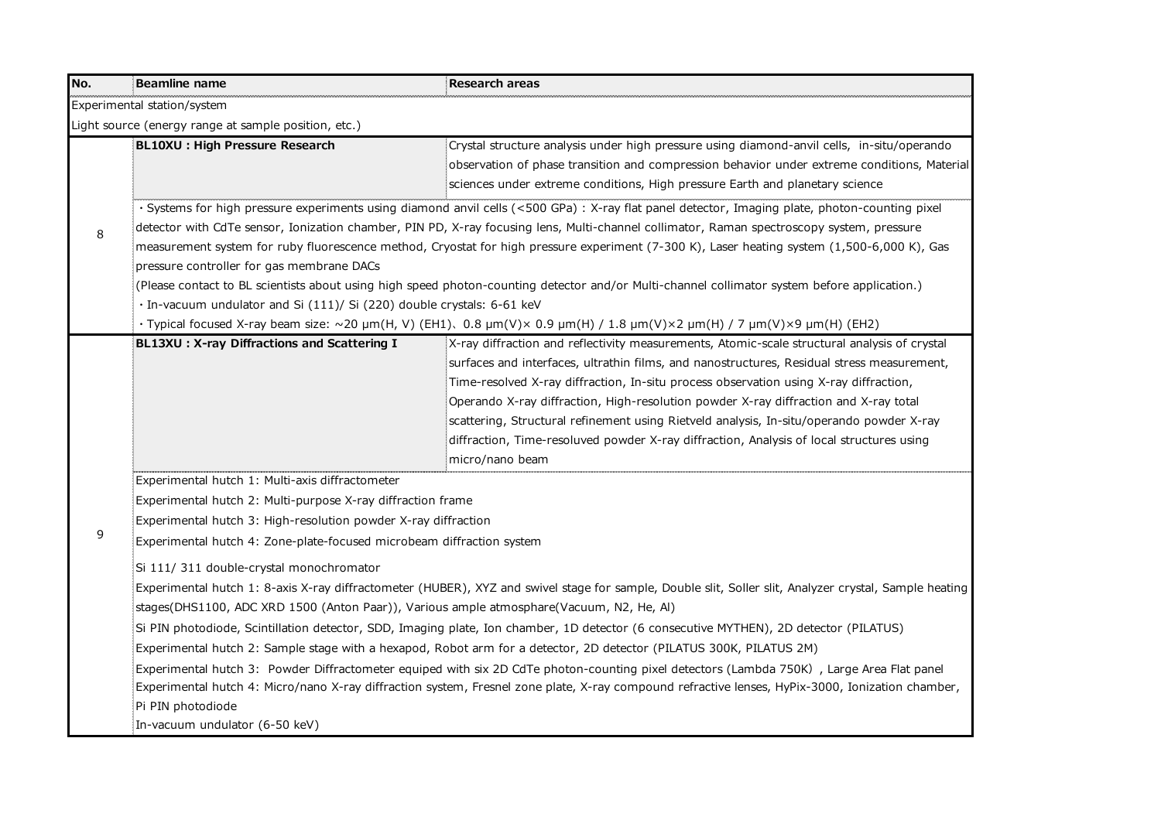| No. | Beamline name                                                                                                                                          | <b>Research areas</b>                                                                                                                          |  |  |
|-----|--------------------------------------------------------------------------------------------------------------------------------------------------------|------------------------------------------------------------------------------------------------------------------------------------------------|--|--|
|     | Experimental station/system                                                                                                                            |                                                                                                                                                |  |  |
|     | Light source (energy range at sample position, etc.)                                                                                                   |                                                                                                                                                |  |  |
|     | BL10XU : High Pressure Research                                                                                                                        | Crystal structure analysis under high pressure using diamond-anvil cells, in-situ/operando                                                     |  |  |
|     |                                                                                                                                                        | observation of phase transition and compression behavior under extreme conditions, Material                                                    |  |  |
|     |                                                                                                                                                        | sciences under extreme conditions, High pressure Earth and planetary science                                                                   |  |  |
|     |                                                                                                                                                        | · Systems for high pressure experiments using diamond anvil cells (<500 GPa) : X-ray flat panel detector, Imaging plate, photon-counting pixel |  |  |
| 8   |                                                                                                                                                        | detector with CdTe sensor, Ionization chamber, PIN PD, X-ray focusing lens, Multi-channel collimator, Raman spectroscopy system, pressure      |  |  |
|     |                                                                                                                                                        | measurement system for ruby fluorescence method, Cryostat for high pressure experiment (7-300 K), Laser heating system (1,500-6,000 K), Gas    |  |  |
|     | pressure controller for gas membrane DACs                                                                                                              |                                                                                                                                                |  |  |
|     |                                                                                                                                                        | (Please contact to BL scientists about using high speed photon-counting detector and/or Multi-channel collimator system before application.)   |  |  |
|     | · In-vacuum undulator and Si (111)/ Si (220) double crystals: 6-61 keV                                                                                 |                                                                                                                                                |  |  |
|     |                                                                                                                                                        | · Typical focused X-ray beam size: ~20 μm(H, V) (EH1)、0.8 μm(V)× 0.9 μm(H) / 1.8 μm(V)×2 μm(H) / 7 μm(V)×9 μm(H) (EH2)                         |  |  |
|     | BL13XU: X-ray Diffractions and Scattering I                                                                                                            | $X$ -ray diffraction and reflectivity measurements, Atomic-scale structural analysis of crystal                                                |  |  |
|     |                                                                                                                                                        | surfaces and interfaces, ultrathin films, and nanostructures, Residual stress measurement,                                                     |  |  |
|     |                                                                                                                                                        | Time-resolved X-ray diffraction, In-situ process observation using X-ray diffraction,                                                          |  |  |
|     |                                                                                                                                                        | Operando X-ray diffraction, High-resolution powder X-ray diffraction and X-ray total                                                           |  |  |
|     |                                                                                                                                                        | scattering, Structural refinement using Rietveld analysis, In-situ/operando powder X-ray                                                       |  |  |
|     |                                                                                                                                                        | diffraction, Time-resoluved powder X-ray diffraction, Analysis of local structures using                                                       |  |  |
|     |                                                                                                                                                        | micro/nano beam                                                                                                                                |  |  |
|     | Experimental hutch 1: Multi-axis diffractometer                                                                                                        |                                                                                                                                                |  |  |
|     | Experimental hutch 2: Multi-purpose X-ray diffraction frame                                                                                            |                                                                                                                                                |  |  |
| 9   | Experimental hutch 3: High-resolution powder X-ray diffraction                                                                                         |                                                                                                                                                |  |  |
|     | Experimental hutch 4: Zone-plate-focused microbeam diffraction system                                                                                  |                                                                                                                                                |  |  |
|     | Si 111/ 311 double-crystal monochromator                                                                                                               |                                                                                                                                                |  |  |
|     | Experimental hutch 1: 8-axis X-ray diffractometer (HUBER), XYZ and swivel stage for sample, Double slit, Soller slit, Analyzer crystal, Sample heating |                                                                                                                                                |  |  |
|     | stages(DHS1100, ADC XRD 1500 (Anton Paar)), Various ample atmosphare(Vacuum, N2, He, Al):                                                              |                                                                                                                                                |  |  |
|     | Si PIN photodiode, Scintillation detector, SDD, Imaging plate, Ion chamber, 1D detector (6 consecutive MYTHEN), 2D detector (PILATUS)                  |                                                                                                                                                |  |  |
|     | Experimental hutch 2: Sample stage with a hexapod, Robot arm for a detector, 2D detector (PILATUS 300K, PILATUS 2M)                                    |                                                                                                                                                |  |  |
|     | Experimental hutch 3: Powder Diffractometer equiped with six 2D CdTe photon-counting pixel detectors (Lambda 750K), Large Area Flat panel              |                                                                                                                                                |  |  |
|     | Experimental hutch 4: Micro/nano X-ray diffraction system, Fresnel zone plate, X-ray compound refractive lenses, HyPix-3000, Ionization chamber,       |                                                                                                                                                |  |  |
|     | Pi PIN photodiode                                                                                                                                      |                                                                                                                                                |  |  |
|     | In-vacuum undulator (6-50 keV)                                                                                                                         |                                                                                                                                                |  |  |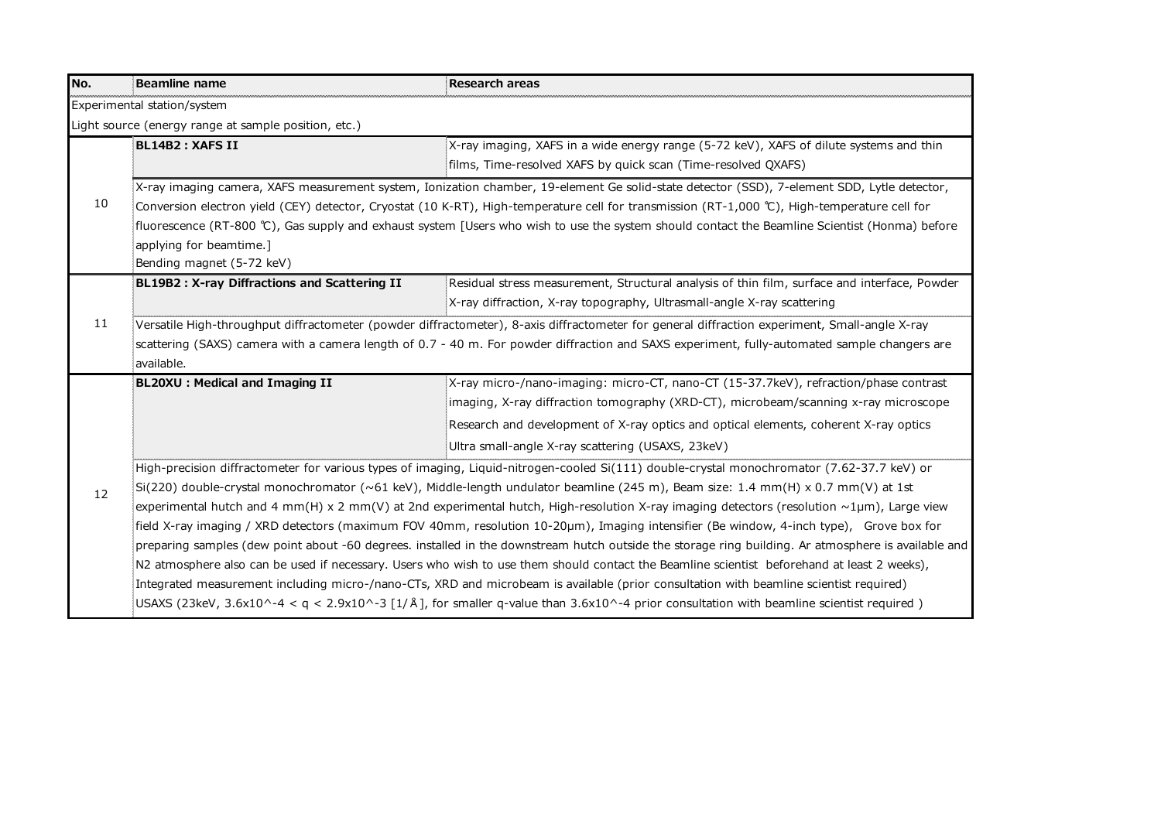| No. | Beamline name                                                                                                                                       | Research areas                                                                                                                                      |  |
|-----|-----------------------------------------------------------------------------------------------------------------------------------------------------|-----------------------------------------------------------------------------------------------------------------------------------------------------|--|
|     | Experimental station/system                                                                                                                         |                                                                                                                                                     |  |
|     | Light source (energy range at sample position, etc.)                                                                                                |                                                                                                                                                     |  |
|     | BL14B2 : XAFS II                                                                                                                                    | X-ray imaging, XAFS in a wide energy range (5-72 keV), XAFS of dilute systems and thin                                                              |  |
|     |                                                                                                                                                     | films, Time-resolved XAFS by quick scan (Time-resolved QXAFS)                                                                                       |  |
|     |                                                                                                                                                     | .<br>X-ray imaging camera, XAFS measurement system, Ionization chamber, 19-element Ge solid-state detector (SSD), 7-element SDD, Lytle detector,    |  |
| 10  | : Conversion electron yield (CEY) detector, Cryostat (10 K-RT), High-temperature cell for transmission (RT-1,000 ℃), High-temperature cell for      |                                                                                                                                                     |  |
|     |                                                                                                                                                     | .<br>Efluorescence (RT-800 ℃), Gas supply and exhaust system [Users who wish to use the system should contact the Beamline Scientist (Honma) before |  |
|     | applying for beamtime.]                                                                                                                             |                                                                                                                                                     |  |
|     | Bending magnet (5-72 keV)                                                                                                                           |                                                                                                                                                     |  |
|     | BL19B2: X-ray Diffractions and Scattering II                                                                                                        | Residual stress measurement, Structural analysis of thin film, surface and interface, Powder                                                        |  |
|     |                                                                                                                                                     | X-ray diffraction, X-ray topography, Ultrasmall-angle X-ray scattering                                                                              |  |
| 11  | .<br>Versatile High-throughput diffractometer (powder diffractometer), 8-axis diffractometer for general diffraction experiment, Small-angle X-ray  |                                                                                                                                                     |  |
|     |                                                                                                                                                     | scattering (SAXS) camera with a camera length of 0.7 - 40 m. For powder diffraction and SAXS experiment, fully-automated sample changers are        |  |
|     | available.                                                                                                                                          |                                                                                                                                                     |  |
|     | BL20XU: Medical and Imaging II                                                                                                                      | X-ray micro-/nano-imaging: micro-CT, nano-CT (15-37.7keV), refraction/phase contrast                                                                |  |
|     |                                                                                                                                                     | imaging, X-ray diffraction tomography (XRD-CT), microbeam/scanning x-ray microscope                                                                 |  |
|     |                                                                                                                                                     | Research and development of X-ray optics and optical elements, coherent X-ray optics                                                                |  |
|     |                                                                                                                                                     | Ultra small-angle X-ray scattering (USAXS, 23keV)                                                                                                   |  |
|     | High-precision diffractometer for various types of imaging, Liquid-nitrogen-cooled Si(111) double-crystal monochromator (7.62-37.7 keV) or          |                                                                                                                                                     |  |
| 12  | :Si(220) double-crystal monochromator (~61 keV), Middle-length undulator beamline (245 m), Beam size: 1.4 mm(H) x 0.7 mm(V) at 1st                  |                                                                                                                                                     |  |
|     | experimental hutch and 4 mm(H) x 2 mm(V) at 2nd experimental hutch, High-resolution X-ray imaging detectors (resolution $\sim$ 1µm), Large view     |                                                                                                                                                     |  |
|     | Field X-ray imaging / XRD detectors (maximum FOV 40mm, resolution 10-20μm), Imaging intensifier (Be window, 4-inch type), Grove box for             |                                                                                                                                                     |  |
|     | preparing samples (dew point about -60 degrees. installed in the downstream hutch outside the storage ring building. Ar atmosphere is available and |                                                                                                                                                     |  |
|     |                                                                                                                                                     | N2 atmosphere also can be used if necessary. Users who wish to use them should contact the Beamline scientist beforehand at least 2 weeks),         |  |
|     |                                                                                                                                                     | Integrated measurement including micro-/nano-CTs, XRD and microbeam is available (prior consultation with beamline scientist required)              |  |
|     |                                                                                                                                                     | USAXS (23keV, 3.6x10^-4 < q < 2.9x10^-3 [1/Å], for smaller q-value than 3.6x10^-4 prior consultation with beamline scientist required)              |  |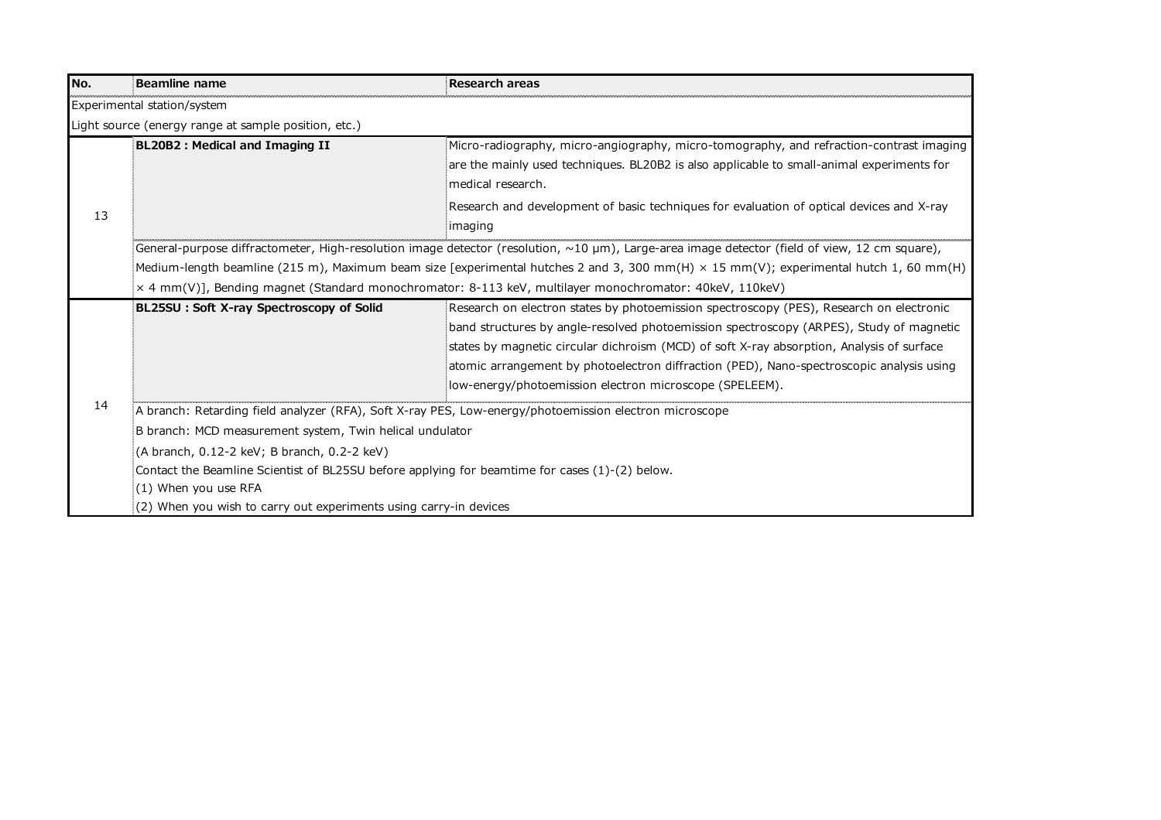| No.                                                                 | <b>Beamline name</b>                                                                                                                         | <b>Research areas</b>                                                                                                                          |  |
|---------------------------------------------------------------------|----------------------------------------------------------------------------------------------------------------------------------------------|------------------------------------------------------------------------------------------------------------------------------------------------|--|
|                                                                     | Experimental station/system                                                                                                                  |                                                                                                                                                |  |
|                                                                     | Light source (energy range at sample position, etc.)                                                                                         |                                                                                                                                                |  |
|                                                                     | BL20B2 : Medical and Imaging II                                                                                                              | Micro-radiography, micro-angiography, micro-tomography, and refraction-contrast imaging                                                        |  |
|                                                                     |                                                                                                                                              | are the mainly used techniques. BL20B2 is also applicable to small-animal experiments for                                                      |  |
|                                                                     |                                                                                                                                              | imedical research.                                                                                                                             |  |
| 13                                                                  |                                                                                                                                              | Research and development of basic techniques for evaluation of optical devices and X-ray                                                       |  |
|                                                                     |                                                                                                                                              | imaging                                                                                                                                        |  |
|                                                                     |                                                                                                                                              | EGeneral-purpose diffractometer, High-resolution image detector (resolution, ~10 μm), Large-area image detector (field of view, 12 cm square), |  |
|                                                                     | Medium-length beamline (215 m), Maximum beam size [experimental hutches 2 and 3, 300 mm(H) $\times$ 15 mm(V); experimental hutch 1, 60 mm(H) |                                                                                                                                                |  |
|                                                                     |                                                                                                                                              | x 4 mm(V)], Bending magnet (Standard monochromator: 8-113 keV, multilayer monochromator: 40keV, 110keV)                                        |  |
|                                                                     | BL25SU: Soft X-ray Spectroscopy of Solid                                                                                                     | Research on electron states by photoemission spectroscopy (PES), Research on electronic                                                        |  |
|                                                                     |                                                                                                                                              | band structures by angle-resolved photoemission spectroscopy (ARPES), Study of magnetic                                                        |  |
|                                                                     |                                                                                                                                              | states by magnetic circular dichroism (MCD) of soft X-ray absorption, Analysis of surface                                                      |  |
|                                                                     |                                                                                                                                              | atomic arrangement by photoelectron diffraction (PED), Nano-spectroscopic analysis using                                                       |  |
|                                                                     |                                                                                                                                              | low-energy/photoemission electron microscope (SPELEEM).                                                                                        |  |
| 14                                                                  | A branch: Retarding field analyzer (RFA), Soft X-ray PES, Low-energy/photoemission electron microscope                                       |                                                                                                                                                |  |
|                                                                     | B branch: MCD measurement system, Twin helical undulator                                                                                     |                                                                                                                                                |  |
|                                                                     | (A branch, 0.12-2 keV; B branch, 0.2-2 keV)                                                                                                  |                                                                                                                                                |  |
|                                                                     | : Contact the Beamline Scientist of BL25SU before applying for beamtime for cases (1)-(2) below.                                             |                                                                                                                                                |  |
|                                                                     | $(1)$ When you use RFA                                                                                                                       |                                                                                                                                                |  |
| $(2)$ When you wish to carry out experiments using carry-in devices |                                                                                                                                              |                                                                                                                                                |  |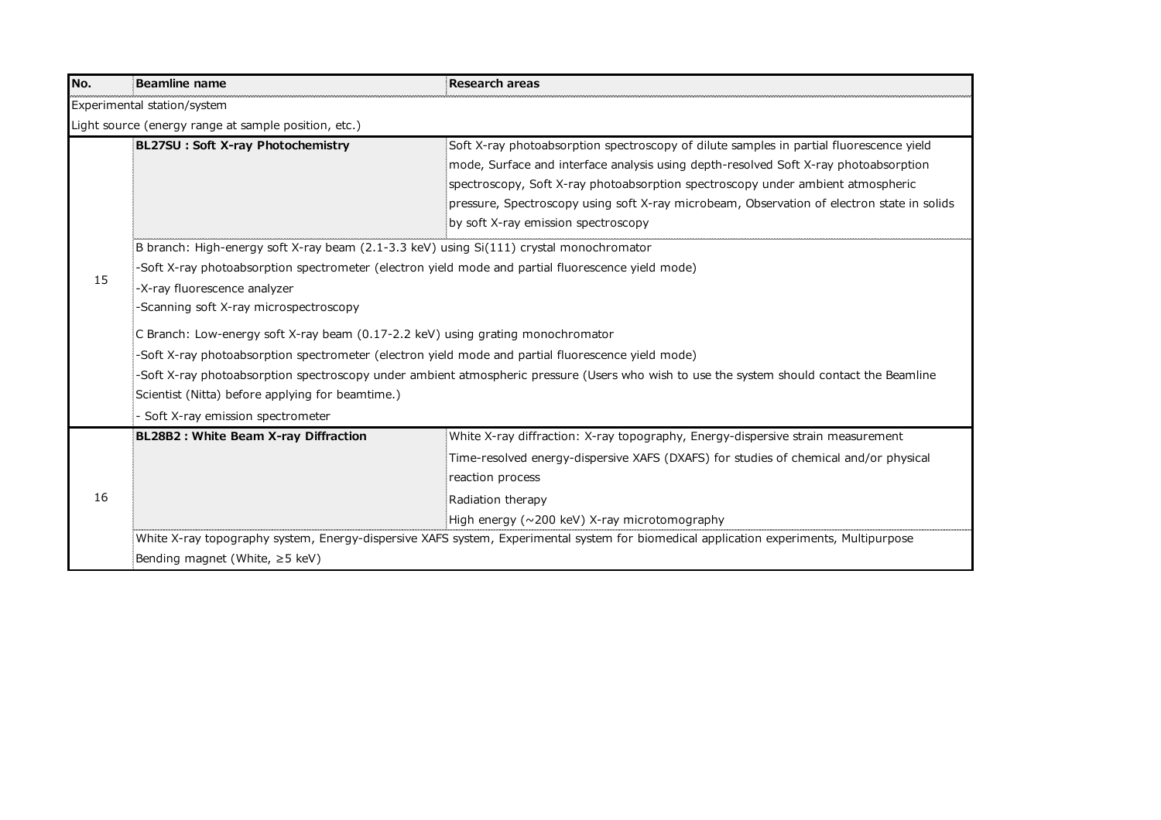| No. | <b>Beamline name</b>                                                                                                                      | <b>Research areas</b>                                                                                                                  |
|-----|-------------------------------------------------------------------------------------------------------------------------------------------|----------------------------------------------------------------------------------------------------------------------------------------|
|     | Experimental station/system                                                                                                               |                                                                                                                                        |
|     | Light source (energy range at sample position, etc.)                                                                                      |                                                                                                                                        |
|     | BL27SU: Soft X-ray Photochemistry                                                                                                         | Soft X-ray photoabsorption spectroscopy of dilute samples in partial fluorescence yield                                                |
|     |                                                                                                                                           | mode, Surface and interface analysis using depth-resolved Soft X-ray photoabsorption                                                   |
|     |                                                                                                                                           | spectroscopy, Soft X-ray photoabsorption spectroscopy under ambient atmospheric                                                        |
|     |                                                                                                                                           | pressure, Spectroscopy using soft X-ray microbeam, Observation of electron state in solids                                             |
|     |                                                                                                                                           | by soft X-ray emission spectroscopy                                                                                                    |
|     | B branch: High-energy soft X-ray beam (2.1-3.3 keV) using Si(111) crystal monochromator                                                   |                                                                                                                                        |
|     | -Soft X-ray photoabsorption spectrometer (electron yield mode and partial fluorescence yield mode)                                        |                                                                                                                                        |
| 15  | -X-ray fluorescence analyzer                                                                                                              |                                                                                                                                        |
|     | -Scanning soft X-ray microspectroscopy                                                                                                    |                                                                                                                                        |
|     | C Branch: Low-energy soft X-ray beam (0.17-2.2 keV) using grating monochromator                                                           |                                                                                                                                        |
|     | -Soft X-ray photoabsorption spectrometer (electron yield mode and partial fluorescence yield mode)                                        |                                                                                                                                        |
|     | -Soft X-ray photoabsorption spectroscopy under ambient atmospheric pressure (Users who wish to use the system should contact the Beamline |                                                                                                                                        |
|     | Scientist (Nitta) before applying for beamtime.)                                                                                          |                                                                                                                                        |
|     | Soft X-ray emission spectrometer                                                                                                          |                                                                                                                                        |
|     | BL28B2 : White Beam X-ray Diffraction                                                                                                     | White X-ray diffraction: X-ray topography, Energy-dispersive strain measurement                                                        |
|     |                                                                                                                                           | Time-resolved energy-dispersive XAFS (DXAFS) for studies of chemical and/or physical                                                   |
|     |                                                                                                                                           | reaction process                                                                                                                       |
| 16  |                                                                                                                                           | Radiation therapy                                                                                                                      |
|     |                                                                                                                                           | High energy ( $\sim$ 200 keV) X-ray microtomography                                                                                    |
|     |                                                                                                                                           | White X-ray topography system, Energy-dispersive XAFS system, Experimental system for biomedical application experiments, Multipurpose |
|     | Bending magnet (White, $\geq$ 5 keV)                                                                                                      |                                                                                                                                        |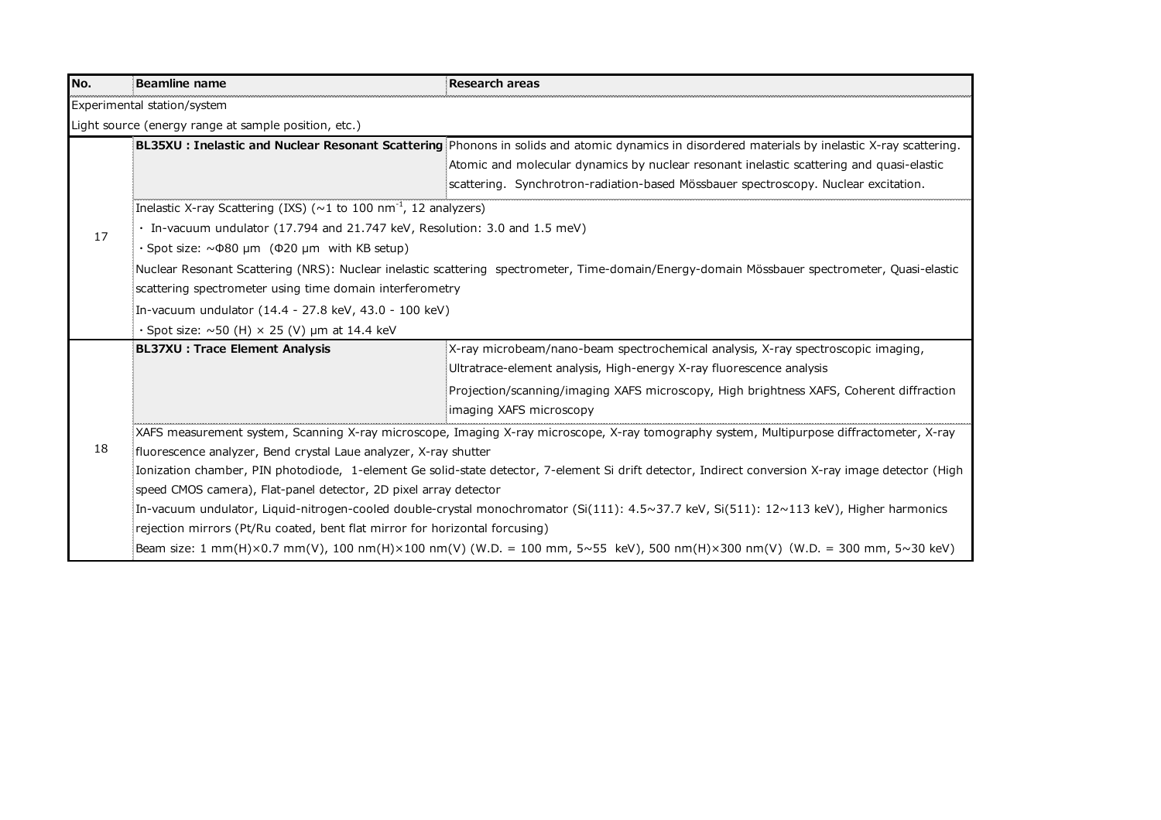| No. | Beamline name                                                                                                                                      | <b>Research areas</b>                                                                                                                                 |
|-----|----------------------------------------------------------------------------------------------------------------------------------------------------|-------------------------------------------------------------------------------------------------------------------------------------------------------|
|     | Experimental station/system                                                                                                                        |                                                                                                                                                       |
|     | Light source (energy range at sample position, etc.)                                                                                               |                                                                                                                                                       |
|     |                                                                                                                                                    | <b>BL35XU: Inelastic and Nuclear Resonant Scattering</b> Phonons in solids and atomic dynamics in disordered materials by inelastic X-ray scattering. |
|     |                                                                                                                                                    | Atomic and molecular dynamics by nuclear resonant inelastic scattering and quasi-elastic                                                              |
|     |                                                                                                                                                    | scattering. Synchrotron-radiation-based Mössbauer spectroscopy. Nuclear excitation.                                                                   |
|     | Inelastic X-ray Scattering (IXS) ( $\sim$ 1 to 100 nm <sup>-1</sup> , 12 analyzers)                                                                |                                                                                                                                                       |
| 17  | In-vacuum undulator (17.794 and 21.747 keV, Resolution: 3.0 and 1.5 meV)                                                                           |                                                                                                                                                       |
|     | $\cdot$ Spot size: $\sim$ 080 µm ( $\Phi$ 20 µm with KB setup)                                                                                     |                                                                                                                                                       |
|     | Nuclear Resonant Scattering (NRS): Nuclear inelastic scattering spectrometer, Time-domain/Energy-domain Mössbauer spectrometer, Quasi-elastic      |                                                                                                                                                       |
|     | scattering spectrometer using time domain interferometry                                                                                           |                                                                                                                                                       |
|     | In-vacuum undulator (14.4 - 27.8 keV, 43.0 - 100 keV)                                                                                              |                                                                                                                                                       |
|     | $\cdot$ Spot size: $\sim$ 50 (H) $\times$ 25 (V) µm at 14.4 keV                                                                                    |                                                                                                                                                       |
|     | <b>BL37XU: Trace Element Analysis</b>                                                                                                              | X-ray microbeam/nano-beam spectrochemical analysis, X-ray spectroscopic imaging,                                                                      |
|     |                                                                                                                                                    | Ultratrace-element analysis, High-energy X-ray fluorescence analysis                                                                                  |
|     |                                                                                                                                                    | Projection/scanning/imaging XAFS microscopy, High brightness XAFS, Coherent diffraction                                                               |
|     |                                                                                                                                                    | imaging XAFS microscopy                                                                                                                               |
|     | :XAFS measurement system, Scanning X-ray microscope, Imaging X-ray microscope, X-ray tomography system, Multipurpose diffractometer, X-ray         |                                                                                                                                                       |
| 18  | fluorescence analyzer, Bend crystal Laue analyzer, X-ray shutter                                                                                   |                                                                                                                                                       |
|     | Ionization chamber, PIN photodiode, 1-element Ge solid-state detector, 7-element Si drift detector, Indirect conversion X-ray image detector (High |                                                                                                                                                       |
|     | speed CMOS camera), Flat-panel detector, 2D pixel array detector                                                                                   |                                                                                                                                                       |
|     | In-vacuum undulator, Liquid-nitrogen-cooled double-crystal monochromator (Si(111): 4.5~37.7 keV, Si(511): 12~113 keV), Higher harmonics            |                                                                                                                                                       |
|     | rejection mirrors (Pt/Ru coated, bent flat mirror for horizontal forcusing)                                                                        |                                                                                                                                                       |
|     |                                                                                                                                                    | Beam size: 1 mm(H)×0.7 mm(V), 100 nm(H)×100 nm(V) (W.D. = 100 mm, 5~55 keV), 500 nm(H)×300 nm(V) (W.D. = 300 mm, 5~30 keV);                           |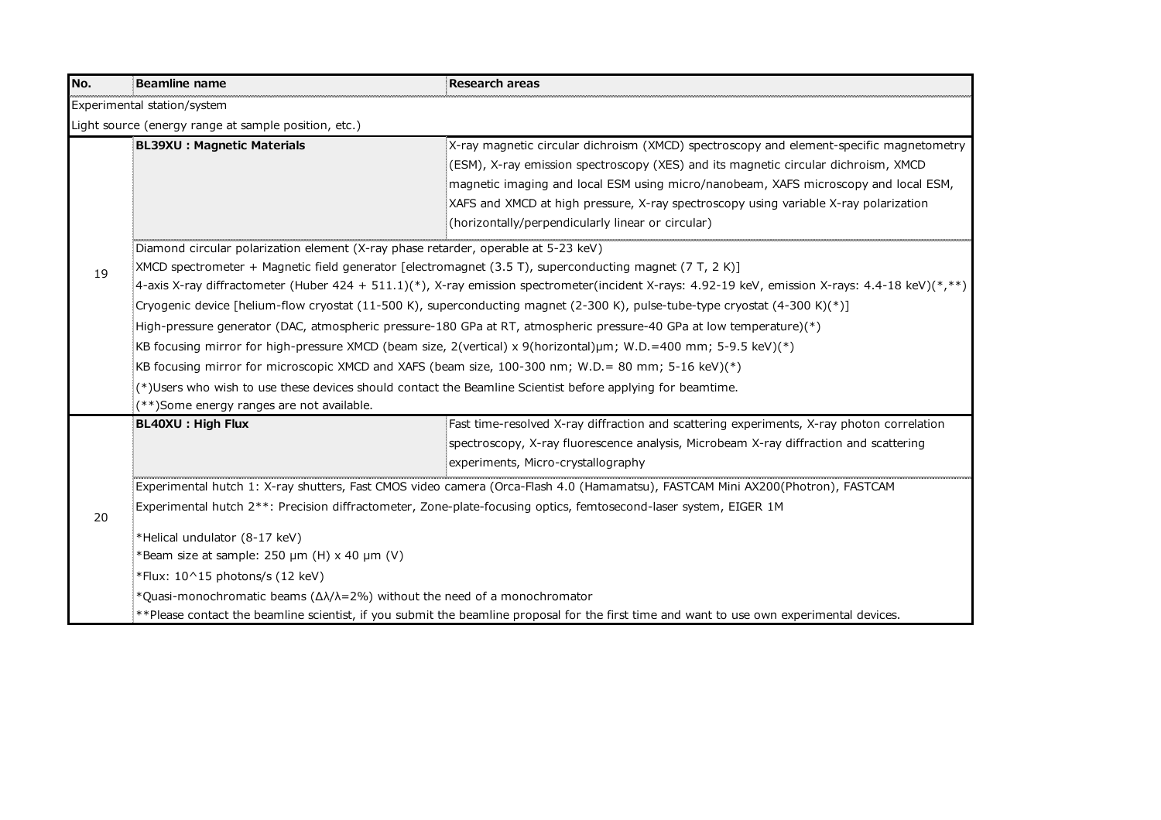| No.                                                                                                                                                                                                                                                                                                                                                                           | <b>Beamline name</b>                                                                                                                                                                                                                                         | <b>Research areas</b>                                                                                                                                                                                                                                                                                                                                                                                             |  |
|-------------------------------------------------------------------------------------------------------------------------------------------------------------------------------------------------------------------------------------------------------------------------------------------------------------------------------------------------------------------------------|--------------------------------------------------------------------------------------------------------------------------------------------------------------------------------------------------------------------------------------------------------------|-------------------------------------------------------------------------------------------------------------------------------------------------------------------------------------------------------------------------------------------------------------------------------------------------------------------------------------------------------------------------------------------------------------------|--|
|                                                                                                                                                                                                                                                                                                                                                                               | Experimental station/system                                                                                                                                                                                                                                  |                                                                                                                                                                                                                                                                                                                                                                                                                   |  |
|                                                                                                                                                                                                                                                                                                                                                                               | Light source (energy range at sample position, etc.)                                                                                                                                                                                                         |                                                                                                                                                                                                                                                                                                                                                                                                                   |  |
|                                                                                                                                                                                                                                                                                                                                                                               | <b>BL39XU : Magnetic Materials</b>                                                                                                                                                                                                                           | X-ray magnetic circular dichroism (XMCD) spectroscopy and element-specific magnetometry<br>(ESM), X-ray emission spectroscopy (XES) and its magnetic circular dichroism, XMCD<br>magnetic imaging and local ESM using micro/nanobeam, XAFS microscopy and local ESM,<br>XAFS and XMCD at high pressure, X-ray spectroscopy using variable X-ray polarization<br>(horizontally/perpendicularly linear or circular) |  |
|                                                                                                                                                                                                                                                                                                                                                                               | :<br>Diamond circular polarization element (X-ray phase retarder, operable at 5-23 keV)                                                                                                                                                                      |                                                                                                                                                                                                                                                                                                                                                                                                                   |  |
| 19                                                                                                                                                                                                                                                                                                                                                                            | [XMCD spectrometer + Magnetic field generator [electromagnet (3.5 T), superconducting magnet (7 T, 2 K)]<br>4-axis X-ray diffractometer (Huber 424 + 511.1)(*), X-ray emission spectrometer(incident X-rays: 4.92-19 keV, emission X-rays: 4.4-18 keV)(*,**) |                                                                                                                                                                                                                                                                                                                                                                                                                   |  |
|                                                                                                                                                                                                                                                                                                                                                                               | [Cryogenic device [helium-flow cryostat (11-500 K), superconducting magnet (2-300 K), pulse-tube-type cryostat (4-300 K)(*)]                                                                                                                                 |                                                                                                                                                                                                                                                                                                                                                                                                                   |  |
|                                                                                                                                                                                                                                                                                                                                                                               | High-pressure generator (DAC, atmospheric pressure-180 GPa at RT, atmospheric pressure-40 GPa at low temperature)(*):                                                                                                                                        |                                                                                                                                                                                                                                                                                                                                                                                                                   |  |
|                                                                                                                                                                                                                                                                                                                                                                               | :KB focusing mirror for high-pressure XMCD (beam size, 2(vertical) x 9(horizontal)μm; W.D.=400 mm; 5-9.5 keV)(*)                                                                                                                                             |                                                                                                                                                                                                                                                                                                                                                                                                                   |  |
|                                                                                                                                                                                                                                                                                                                                                                               | KB focusing mirror for microscopic XMCD and XAFS (beam size, 100-300 nm; W.D.= 80 mm; 5-16 keV)(*):                                                                                                                                                          |                                                                                                                                                                                                                                                                                                                                                                                                                   |  |
|                                                                                                                                                                                                                                                                                                                                                                               | (*)Users who wish to use these devices should contact the Beamline Scientist before applying for beamtime.                                                                                                                                                   |                                                                                                                                                                                                                                                                                                                                                                                                                   |  |
| (**)Some energy ranges are not available.                                                                                                                                                                                                                                                                                                                                     |                                                                                                                                                                                                                                                              |                                                                                                                                                                                                                                                                                                                                                                                                                   |  |
|                                                                                                                                                                                                                                                                                                                                                                               | BL40XU: High Flux                                                                                                                                                                                                                                            | Fast time-resolved X-ray diffraction and scattering experiments, X-ray photon correlation                                                                                                                                                                                                                                                                                                                         |  |
|                                                                                                                                                                                                                                                                                                                                                                               |                                                                                                                                                                                                                                                              | spectroscopy, X-ray fluorescence analysis, Microbeam X-ray diffraction and scattering                                                                                                                                                                                                                                                                                                                             |  |
|                                                                                                                                                                                                                                                                                                                                                                               |                                                                                                                                                                                                                                                              | experiments, Micro-crystallography                                                                                                                                                                                                                                                                                                                                                                                |  |
| Experimental hutch 1: X-ray shutters, Fast CMOS video camera (Orca-Flash 4.0 (Hamamatsu), FASTCAM Mini AX200(Photron), FASTCAM:<br>Experimental hutch 2**: Precision diffractometer, Zone-plate-focusing optics, femtosecond-laser system, EIGER 1M<br>20<br>*Helical undulator (8-17 keV)<br>*Beam size at sample: 250 µm (H) x 40 µm (V)<br>*Flux: 10^15 photons/s (12 keV) |                                                                                                                                                                                                                                                              |                                                                                                                                                                                                                                                                                                                                                                                                                   |  |
|                                                                                                                                                                                                                                                                                                                                                                               |                                                                                                                                                                                                                                                              |                                                                                                                                                                                                                                                                                                                                                                                                                   |  |
|                                                                                                                                                                                                                                                                                                                                                                               |                                                                                                                                                                                                                                                              |                                                                                                                                                                                                                                                                                                                                                                                                                   |  |
|                                                                                                                                                                                                                                                                                                                                                                               |                                                                                                                                                                                                                                                              |                                                                                                                                                                                                                                                                                                                                                                                                                   |  |
|                                                                                                                                                                                                                                                                                                                                                                               |                                                                                                                                                                                                                                                              |                                                                                                                                                                                                                                                                                                                                                                                                                   |  |
|                                                                                                                                                                                                                                                                                                                                                                               | *Quasi-monochromatic beams $(\Delta\lambda/\lambda=2\%)$ without the need of a monochromator                                                                                                                                                                 |                                                                                                                                                                                                                                                                                                                                                                                                                   |  |
|                                                                                                                                                                                                                                                                                                                                                                               |                                                                                                                                                                                                                                                              | **Please contact the beamline scientist, if you submit the beamline proposal for the first time and want to use own experimental devices.                                                                                                                                                                                                                                                                         |  |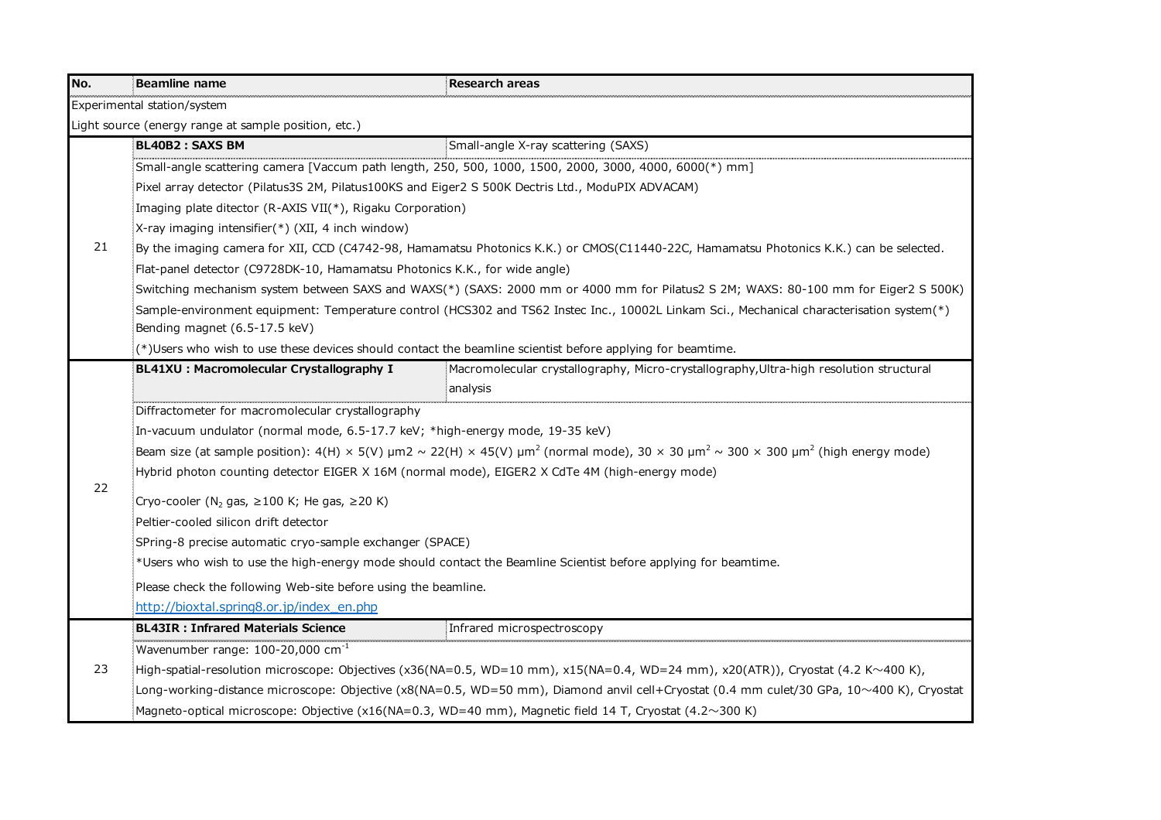| No.                                                                       | <b>Beamline name</b>                                                                                                                     | <b>Research areas</b>                                                                                                                                                        |
|---------------------------------------------------------------------------|------------------------------------------------------------------------------------------------------------------------------------------|------------------------------------------------------------------------------------------------------------------------------------------------------------------------------|
|                                                                           | Experimental station/system                                                                                                              |                                                                                                                                                                              |
|                                                                           | Light source (energy range at sample position, etc.)                                                                                     |                                                                                                                                                                              |
|                                                                           | BL40B2: SAXS BM                                                                                                                          | Small-angle X-ray scattering (SAXS)                                                                                                                                          |
|                                                                           | .<br>Small-angle scattering camera [Vaccum path length, 250, 500, 1000, 1500, 2000, 3000, 4000, 6000(*) mm]                              |                                                                                                                                                                              |
|                                                                           | Pixel array detector (Pilatus3S 2M, Pilatus100KS and Eiger2 S 500K Dectris Ltd., ModuPIX ADVACAM)                                        |                                                                                                                                                                              |
|                                                                           | Imaging plate ditector (R-AXIS VII(*), Rigaku Corporation)                                                                               |                                                                                                                                                                              |
|                                                                           | $X$ -ray imaging intensifier(*) (XII, 4 inch window)                                                                                     |                                                                                                                                                                              |
| 21                                                                        |                                                                                                                                          | By the imaging camera for XII, CCD (C4742-98, Hamamatsu Photonics K.K.) or CMOS(C11440-22C, Hamamatsu Photonics K.K.) can be selected.                                       |
|                                                                           | Flat-panel detector (C9728DK-10, Hamamatsu Photonics K.K., for wide angle)                                                               |                                                                                                                                                                              |
|                                                                           |                                                                                                                                          | Switching mechanism system between SAXS and WAXS(*) (SAXS: 2000 mm or 4000 mm for Pilatus2 S 2M; WAXS: 80-100 mm for Eiger2 S 500K)                                          |
|                                                                           |                                                                                                                                          | (*) Sample-environment equipment: Temperature control (HCS302 and TS62 Instec Inc., 10002L Linkam Sci., Mechanical characterisation system(*)                                |
|                                                                           | Bending magnet (6.5-17.5 keV)                                                                                                            |                                                                                                                                                                              |
|                                                                           | :(*)Users who wish to use these devices should contact the beamline scientist before applying for beamtime.                              |                                                                                                                                                                              |
|                                                                           | BL41XU : Macromolecular Crystallography I                                                                                                | Macromolecular crystallography, Micro-crystallography, Ultra-high resolution structural                                                                                      |
|                                                                           |                                                                                                                                          | analysis                                                                                                                                                                     |
|                                                                           | Diffractometer for macromolecular crystallography                                                                                        |                                                                                                                                                                              |
|                                                                           | In-vacuum undulator (normal mode, 6.5-17.7 keV; *high-energy mode, 19-35 keV)                                                            |                                                                                                                                                                              |
|                                                                           |                                                                                                                                          | Beam size (at sample position): $4(H) \times 5(V)$ µm2 ~ 22(H) × 45(V) µm <sup>2</sup> (normal mode), 30 × 30 µm <sup>2</sup> ~ 300 × 300 µm <sup>2</sup> (high energy mode) |
|                                                                           | Hybrid photon counting detector EIGER X 16M (normal mode), EIGER2 X CdTe 4M (high-energy mode)                                           |                                                                                                                                                                              |
| 22<br>Cryo-cooler (N <sub>2</sub> gas, $\geq$ 100 K; He gas, $\geq$ 20 K) |                                                                                                                                          |                                                                                                                                                                              |
|                                                                           | Peltier-cooled silicon drift detector                                                                                                    |                                                                                                                                                                              |
|                                                                           | SPring-8 precise automatic cryo-sample exchanger (SPACE)                                                                                 |                                                                                                                                                                              |
|                                                                           |                                                                                                                                          | *Users who wish to use the high-energy mode should contact the Beamline Scientist before applying for beamtime.                                                              |
|                                                                           | Please check the following Web-site before using the beamline.                                                                           |                                                                                                                                                                              |
|                                                                           | http://bioxtal.spring8.or.jp/index_en.php                                                                                                |                                                                                                                                                                              |
|                                                                           | <b>BL43IR: Infrared Materials Science</b>                                                                                                | Infrared microspectroscopy                                                                                                                                                   |
|                                                                           | Wavenumber range: $100-20,000$ cm <sup>-1</sup>                                                                                          |                                                                                                                                                                              |
| 23                                                                        | High-spatial-resolution microscope: Objectives (x36(NA=0.5, WD=10 mm), x15(NA=0.4, WD=24 mm), x20(ATR)), Cryostat (4.2 K~400 K),         |                                                                                                                                                                              |
|                                                                           | Long-working-distance microscope: Objective (x8(NA=0.5, WD=50 mm), Diamond anvil cell+Cryostat (0.4 mm culet/30 GPa, 10~400 K), Cryostat |                                                                                                                                                                              |
|                                                                           |                                                                                                                                          | Magneto-optical microscope: Objective (x16(NA=0.3, WD=40 mm), Magnetic field 14 T, Cryostat (4.2~300 K):                                                                     |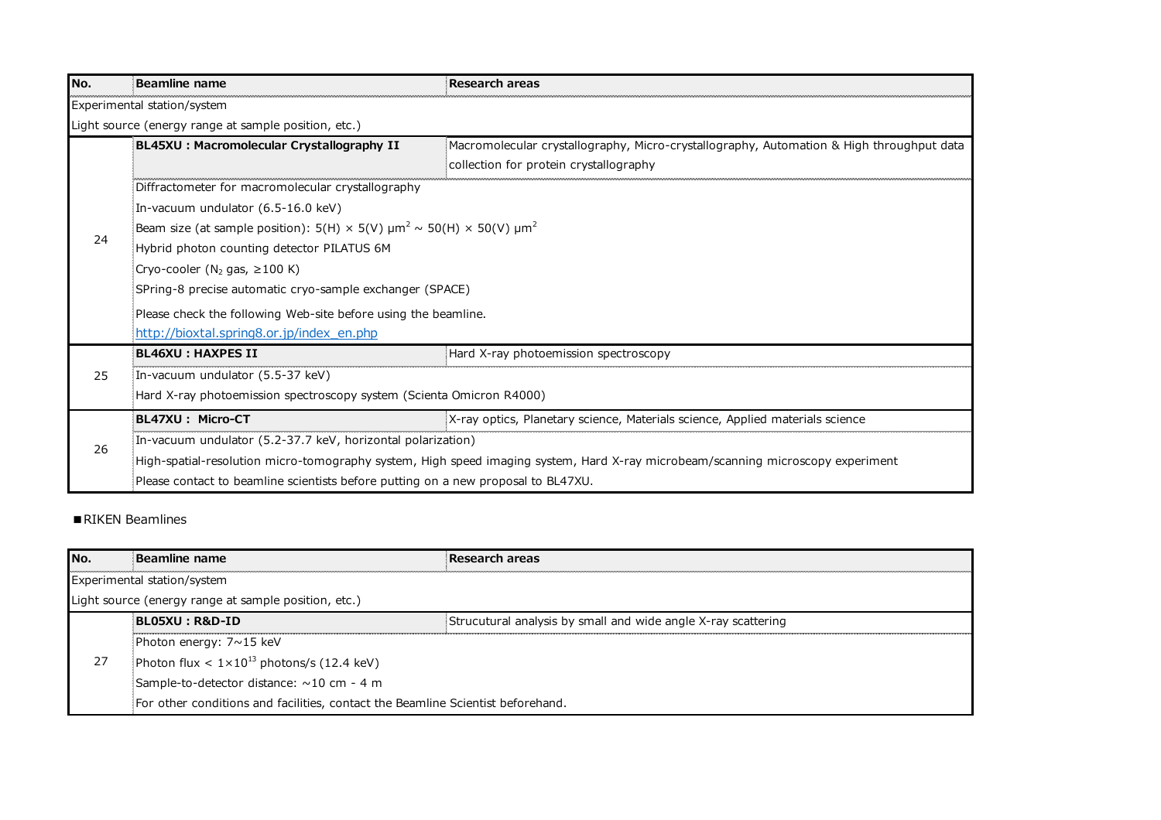| No. | Beamline name                                                                                                                   | <b>Research areas</b>                                                                    |  |
|-----|---------------------------------------------------------------------------------------------------------------------------------|------------------------------------------------------------------------------------------|--|
|     | Experimental station/system                                                                                                     |                                                                                          |  |
|     | Light source (energy range at sample position, etc.)                                                                            |                                                                                          |  |
|     | BL45XU : Macromolecular Crystallography II                                                                                      | Macromolecular crystallography, Micro-crystallography, Automation & High throughput data |  |
|     |                                                                                                                                 | collection for protein crystallography                                                   |  |
|     | Diffractometer for macromolecular crystallography                                                                               |                                                                                          |  |
|     | In-vacuum undulator (6.5-16.0 keV)                                                                                              |                                                                                          |  |
| 24  | EBeam size (at sample position): 5(H) × 5(V) $\mu$ m <sup>2</sup> ~ 50(H) × 50(V) $\mu$ m <sup>2</sup>                          |                                                                                          |  |
|     | Hybrid photon counting detector PILATUS 6M                                                                                      |                                                                                          |  |
|     | Cryo-cooler (N <sub>2</sub> gas, $\geq 100$ K)                                                                                  |                                                                                          |  |
|     | SPring-8 precise automatic cryo-sample exchanger (SPACE)                                                                        |                                                                                          |  |
|     | Please check the following Web-site before using the beamline.                                                                  |                                                                                          |  |
|     | http://bioxtal.spring8.or.jp/index_en.php                                                                                       |                                                                                          |  |
|     | <b>BL46XU: HAXPES II</b>                                                                                                        | Hard X-ray photoemission spectroscopy                                                    |  |
| 25  | In-vacuum undulator (5.5-37 keV)                                                                                                |                                                                                          |  |
|     | Hard X-ray photoemission spectroscopy system (Scienta Omicron R4000)                                                            |                                                                                          |  |
|     | BL47XU: Micro-CT                                                                                                                | X-ray optics, Planetary science, Materials science, Applied materials science            |  |
| 26  | In-vacuum undulator (5.2-37.7 keV, horizontal polarization)                                                                     |                                                                                          |  |
|     | High-spatial-resolution micro-tomography system, High speed imaging system, Hard X-ray microbeam/scanning microscopy experiment |                                                                                          |  |
|     | Please contact to beamline scientists before putting on a new proposal to BL47XU.                                               |                                                                                          |  |

## ■RIKEN Beamlines

| No. | Beamline name                                                                     | Research areas                                                |  |
|-----|-----------------------------------------------------------------------------------|---------------------------------------------------------------|--|
|     | Experimental station/system                                                       |                                                               |  |
|     | Light source (energy range at sample position, etc.)                              |                                                               |  |
|     | BL05XU : R&D-ID                                                                   | Strucutural analysis by small and wide angle X-ray scattering |  |
|     | : Photon energy: $7 \sim 15$ keV                                                  |                                                               |  |
| 27  | Photon flux < $1 \times 10^{13}$ photons/s (12.4 keV)                             |                                                               |  |
|     | Sample-to-detector distance: ~10 cm - 4 m                                         |                                                               |  |
|     | : For other conditions and facilities, contact the Beamline Scientist beforehand. |                                                               |  |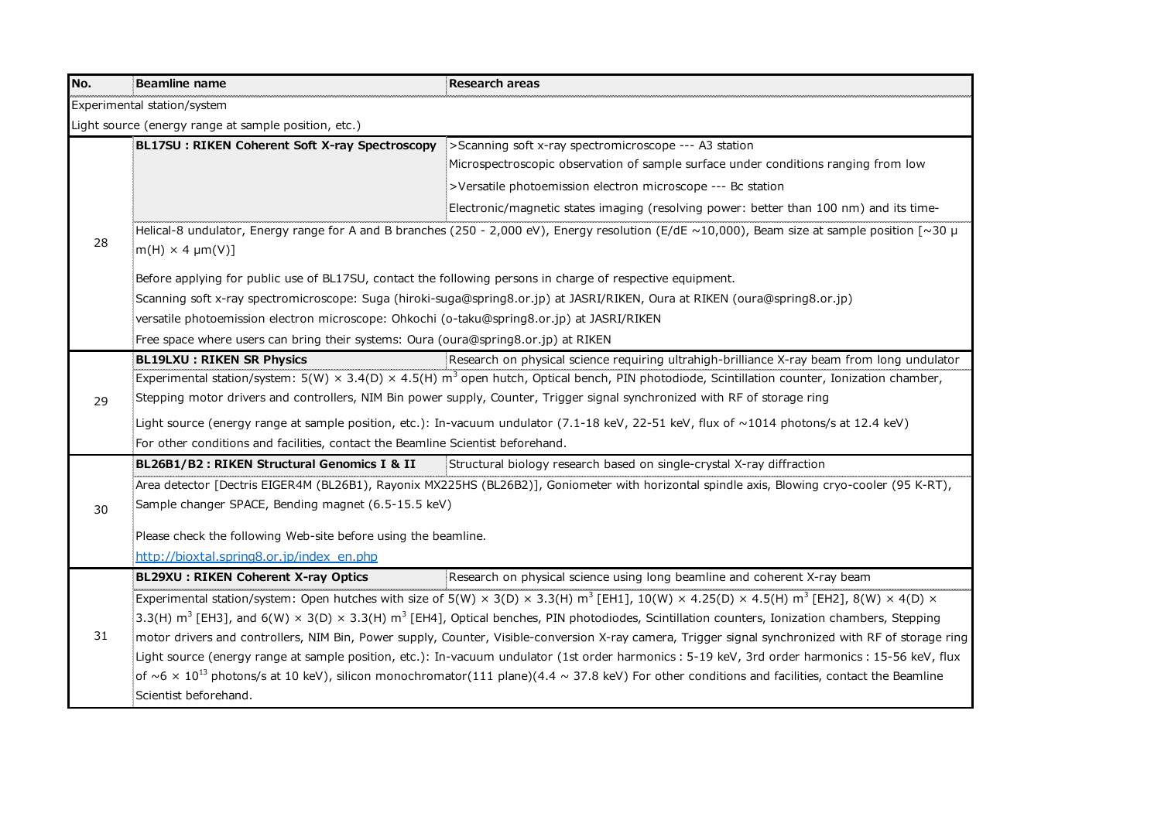| No. | Beamline name                                                                                              | <b>Research areas</b>                                                                                                                                                                     |  |
|-----|------------------------------------------------------------------------------------------------------------|-------------------------------------------------------------------------------------------------------------------------------------------------------------------------------------------|--|
|     | Experimental station/system                                                                                |                                                                                                                                                                                           |  |
|     | Light source (energy range at sample position, etc.)                                                       |                                                                                                                                                                                           |  |
|     | BL17SU: RIKEN Coherent Soft X-ray Spectroscopy                                                             | >Scanning soft x-ray spectromicroscope --- A3 station                                                                                                                                     |  |
|     |                                                                                                            | Microspectroscopic observation of sample surface under conditions ranging from low                                                                                                        |  |
|     |                                                                                                            | >Versatile photoemission electron microscope --- Bc station                                                                                                                               |  |
|     |                                                                                                            | Electronic/magnetic states imaging (resolving power: better than 100 nm) and its time-                                                                                                    |  |
| 28  | $[m(H) \times 4 \mu m(V)]$                                                                                 | Helical-8 undulator, Energy range for A and B branches (250 - 2,000 eV), Energy resolution (E/dE ~10,000), Beam size at sample position [~30 $\mu$                                        |  |
|     | Before applying for public use of BL17SU, contact the following persons in charge of respective equipment. |                                                                                                                                                                                           |  |
|     |                                                                                                            | : Scanning soft x-ray spectromicroscope: Suga (hiroki-suga@spring8.or.jp) at JASRI/RIKEN, Oura at RIKEN (oura@spring8.or.jp)                                                              |  |
|     | versatile photoemission electron microscope: Ohkochi (o-taku@spring8.or.jp) at JASRI/RIKEN                 |                                                                                                                                                                                           |  |
|     | Free space where users can bring their systems: Oura (oura@spring8.or.jp) at RIKEN                         |                                                                                                                                                                                           |  |
|     | <b>BL19LXU: RIKEN SR Physics</b>                                                                           | Research on physical science requiring ultrahigh-brilliance X-ray beam from long undulator                                                                                                |  |
|     |                                                                                                            | $\frac{1}{2}$ Experimental station/system: 5(W) × 3.4(D) × 4.5(H) m <sup>3</sup> open hutch, Optical bench, PIN photodiode, Scintillation counter, Ionization chamber,                    |  |
| 29  |                                                                                                            | Stepping motor drivers and controllers, NIM Bin power supply, Counter, Trigger signal synchronized with RF of storage ring                                                                |  |
|     |                                                                                                            | Light source (energy range at sample position, etc.): In-vacuum undulator (7.1-18 keV, 22-51 keV, flux of $\sim$ 1014 photons/s at 12.4 keV)                                              |  |
|     | For other conditions and facilities, contact the Beamline Scientist beforehand.                            |                                                                                                                                                                                           |  |
|     | BL26B1/B2 : RIKEN Structural Genomics I & II                                                               | Structural biology research based on single-crystal X-ray diffraction                                                                                                                     |  |
|     |                                                                                                            | Area detector [Dectris EIGER4M (BL26B1), Rayonix MX225HS (BL26B2)], Goniometer with horizontal spindle axis, Blowing cryo-cooler (95 K-RT),                                               |  |
| 30  | Sample changer SPACE, Bending magnet (6.5-15.5 keV)                                                        |                                                                                                                                                                                           |  |
|     |                                                                                                            | Please check the following Web-site before using the beamline.                                                                                                                            |  |
|     | http://bioxtal.spring8.or.jp/index en.php                                                                  |                                                                                                                                                                                           |  |
|     | BL29XU : RIKEN Coherent X-ray Optics                                                                       | Research on physical science using long beamline and coherent X-ray beam                                                                                                                  |  |
|     |                                                                                                            | Experimental station/system: Open hutches with size of 5(W) × 3(D) × 3.3(H) m <sup>3</sup> [EH1], 10(W) × 4.25(D) × 4.5(H) m <sup>3</sup> [EH2], 8(W) × 4(D) ×                            |  |
|     |                                                                                                            | $(3.3(H)$ m <sup>3</sup> [EH3], and 6(W) × 3(D) × 3.3(H) m <sup>3</sup> [EH4], Optical benches, PIN photodiodes, Scintillation counters, Ionization chambers, Stepping                    |  |
| 31  |                                                                                                            | imotor drivers and controllers, NIM Bin, Power supply, Counter, Visible-conversion X-ray camera, Trigger signal synchronized with RF of storage ring                                      |  |
|     |                                                                                                            | :Light source (energy range at sample position, etc.): In-vacuum undulator (1st order harmonics : 5-19 keV, 3rd order harmonics : 15-56 keV, flux                                         |  |
|     |                                                                                                            | $\frac{1}{2}$ of $\sim$ 6 $\times$ 10 <sup>13</sup> photons/s at 10 keV), silicon monochromator(111 plane)(4.4 $\sim$ 37.8 keV) For other conditions and facilities, contact the Beamline |  |
|     | Scientist beforehand.                                                                                      |                                                                                                                                                                                           |  |